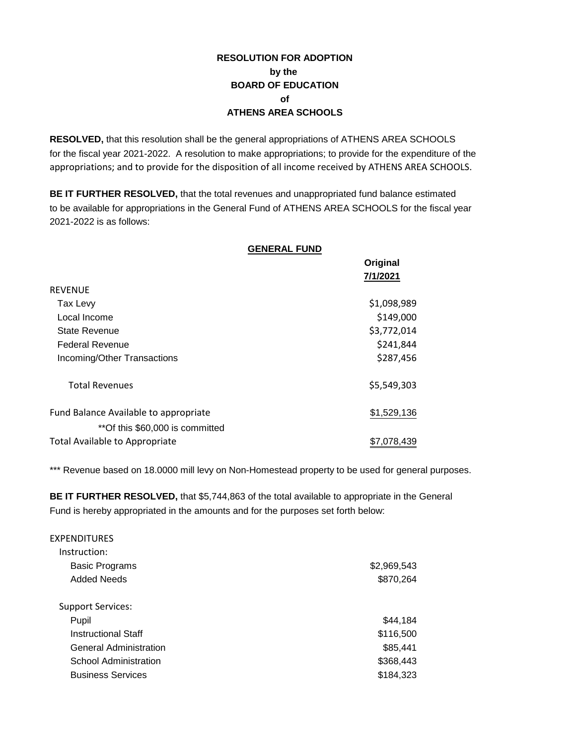## **RESOLUTION FOR ADOPTION by the BOARD OF EDUCATION of ATHENS AREA SCHOOLS**

**RESOLVED,** that this resolution shall be the general appropriations of ATHENS AREA SCHOOLS for the fiscal year 2021-2022. A resolution to make appropriations; to provide for the expenditure of the appropriations; and to provide for the disposition of all income received by ATHENS AREA SCHOOLS.

**BE IT FURTHER RESOLVED,** that the total revenues and unappropriated fund balance estimated to be available for appropriations in the General Fund of ATHENS AREA SCHOOLS for the fiscal year 2021-2022 is as follows:

**GENERAL FUND**

|                                                                          | <b>OLINLINAL I UND</b> |             |
|--------------------------------------------------------------------------|------------------------|-------------|
|                                                                          |                        | Original    |
|                                                                          |                        | 7/1/2021    |
| <b>REVENUE</b>                                                           |                        |             |
| Tax Levy                                                                 |                        | \$1,098,989 |
| Local Income                                                             |                        | \$149,000   |
| <b>State Revenue</b>                                                     |                        | \$3,772,014 |
| <b>Federal Revenue</b>                                                   |                        | \$241,844   |
| Incoming/Other Transactions                                              |                        | \$287,456   |
| <b>Total Revenues</b>                                                    |                        | \$5,549,303 |
| Fund Balance Available to appropriate<br>**Of this \$60,000 is committed |                        | \$1,529,136 |
| Total Available to Appropriate                                           |                        | \$7,078,439 |

\*\*\* Revenue based on 18.0000 mill levy on Non-Homestead property to be used for general purposes.

**BE IT FURTHER RESOLVED,** that \$5,744,863 of the total available to appropriate in the General Fund is hereby appropriated in the amounts and for the purposes set forth below:

| <b>EXPENDITURES</b>           |             |
|-------------------------------|-------------|
| Instruction:                  |             |
| <b>Basic Programs</b>         | \$2,969,543 |
| Added Needs                   | \$870,264   |
| <b>Support Services:</b>      |             |
| Pupil                         | \$44,184    |
| <b>Instructional Staff</b>    | \$116,500   |
| <b>General Administration</b> | \$85,441    |
| <b>School Administration</b>  | \$368,443   |
| <b>Business Services</b>      | \$184,323   |
|                               |             |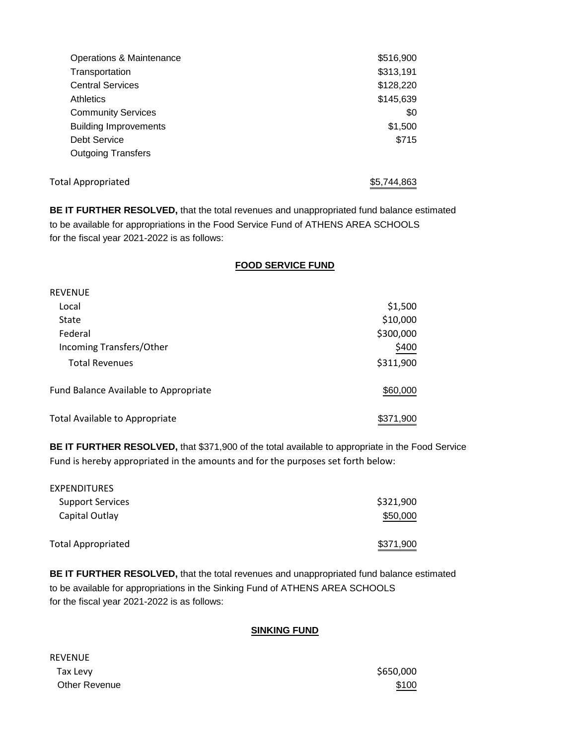| Operations & Maintenance     | \$516,900   |
|------------------------------|-------------|
| Transportation               | \$313,191   |
| <b>Central Services</b>      | \$128,220   |
| <b>Athletics</b>             | \$145,639   |
| <b>Community Services</b>    | \$0         |
| <b>Building Improvements</b> | \$1,500     |
| Debt Service                 | \$715       |
| <b>Outgoing Transfers</b>    |             |
| <b>Total Appropriated</b>    | \$5.744.863 |

**BE IT FURTHER RESOLVED,** that the total revenues and unappropriated fund balance estimated to be available for appropriations in the Food Service Fund of ATHENS AREA SCHOOLS for the fiscal year 2021-2022 is as follows:

## **FOOD SERVICE FUND**

| <b>REVENUE</b>                        |           |
|---------------------------------------|-----------|
| Local                                 | \$1,500   |
| State                                 | \$10,000  |
| Federal                               | \$300,000 |
| Incoming Transfers/Other              | \$400     |
| <b>Total Revenues</b>                 | \$311,900 |
| Fund Balance Available to Appropriate | \$60,000  |
| <b>Total Available to Appropriate</b> | \$371,900 |

**BE IT FURTHER RESOLVED,** that \$371,900 of the total available to appropriate in the Food Service Fund is hereby appropriated in the amounts and for the purposes set forth below:

| <b>EXPENDITURES</b>       |           |
|---------------------------|-----------|
| <b>Support Services</b>   | \$321,900 |
| Capital Outlay            | \$50,000  |
| <b>Total Appropriated</b> | \$371,900 |

**BE IT FURTHER RESOLVED,** that the total revenues and unappropriated fund balance estimated to be available for appropriations in the Sinking Fund of ATHENS AREA SCHOOLS for the fiscal year 2021-2022 is as follows:

## **SINKING FUND**

REVENUE  $\sim$  Tax Levy  $\sim$   $\sim$   $\sim$   $\sim$   $\sim$   $\sim$  5650,000 Other Revenue  $$100$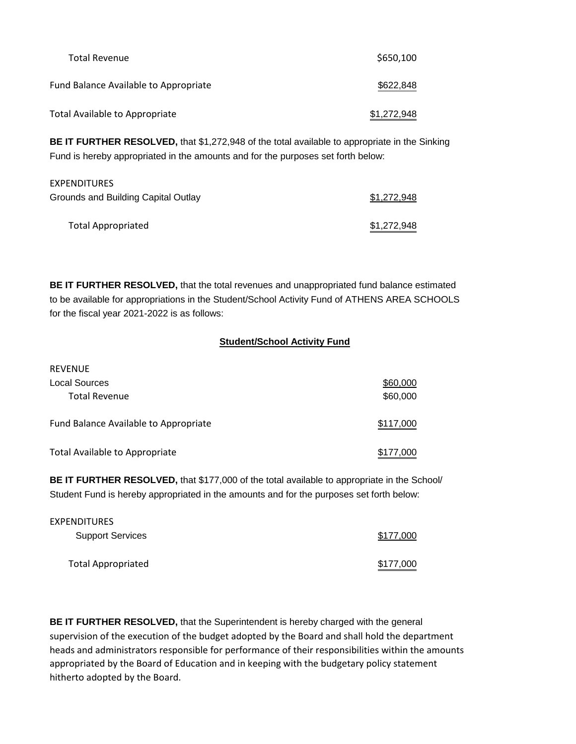| <b>Total Revenue</b>                  | \$650,100   |
|---------------------------------------|-------------|
| Fund Balance Available to Appropriate | \$622,848   |
| Total Available to Appropriate        | \$1,272,948 |

**BE IT FURTHER RESOLVED,** that \$1,272,948 of the total available to appropriate in the Sinking Fund is hereby appropriated in the amounts and for the purposes set forth below:

| <b>EXPENDITURES</b>                 |             |
|-------------------------------------|-------------|
| Grounds and Building Capital Outlay | \$1,272,948 |
| <b>Total Appropriated</b>           | \$1,272,948 |

**BE IT FURTHER RESOLVED,** that the total revenues and unappropriated fund balance estimated to be available for appropriations in the Student/School Activity Fund of ATHENS AREA SCHOOLS for the fiscal year 2021-2022 is as follows:

## **Student/School Activity Fund**

| <b>REVENUE</b>                        |           |
|---------------------------------------|-----------|
| Local Sources                         | \$60,000  |
| <b>Total Revenue</b>                  | \$60,000  |
| Fund Balance Available to Appropriate | \$117,000 |
| Total Available to Appropriate        | \$177,000 |

 $\frac{1}{2}$ 

**BE IT FURTHER RESOLVED,** that \$177,000 of the total available to appropriate in the School/ Student Fund is hereby appropriated in the amounts and for the purposes set forth below:

| <b>EXPENDITURES</b>       |           |
|---------------------------|-----------|
| <b>Support Services</b>   | \$177,000 |
| <b>Total Appropriated</b> | \$177,000 |

**BE IT FURTHER RESOLVED,** that the Superintendent is hereby charged with the general supervision of the execution of the budget adopted by the Board and shall hold the department heads and administrators responsible for performance of their responsibilities within the amounts appropriated by the Board of Education and in keeping with the budgetary policy statement hitherto adopted by the Board.